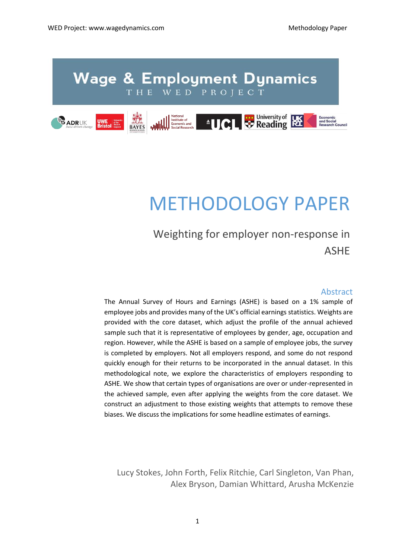

# METHODOLOGY PAPER

Weighting for employer non-response in ASHE

## Abstract

The Annual Survey of Hours and Earnings (ASHE) is based on a 1% sample of employee jobs and provides many of the UK's official earnings statistics. Weights are provided with the core dataset, which adjust the profile of the annual achieved sample such that it is representative of employees by gender, age, occupation and region. However, while the ASHE is based on a sample of employee jobs, the survey is completed by employers. Not all employers respond, and some do not respond quickly enough for their returns to be incorporated in the annual dataset. In this methodological note, we explore the characteristics of employers responding to ASHE. We show that certain types of organisations are over or under-represented in the achieved sample, even after applying the weights from the core dataset. We construct an adjustment to those existing weights that attempts to remove these biases. We discuss the implications for some headline estimates of earnings.

Lucy Stokes, John Forth, Felix Ritchie, Carl Singleton, Van Phan, Alex Bryson, Damian Whittard, Arusha McKenzie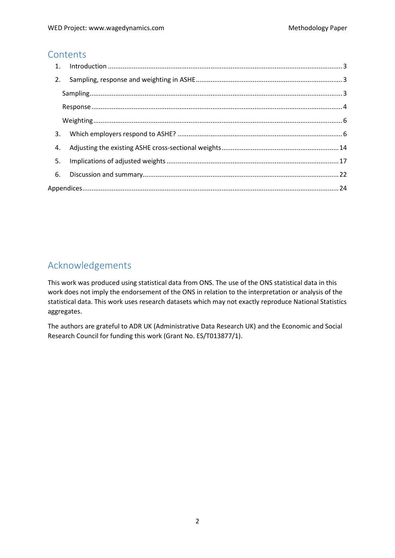## **Contents**

| 2. |  |
|----|--|
|    |  |
|    |  |
|    |  |
| 3. |  |
| 4. |  |
| 5. |  |
| 6. |  |
|    |  |

## Acknowledgements

This work was produced using statistical data from ONS. The use of the ONS statistical data in this work does not imply the endorsement of the ONS in relation to the interpretation or analysis of the statistical data. This work uses research datasets which may not exactly reproduce National Statistics aggregates.

The authors are grateful to ADR UK (Administrative Data Research UK) and the Economic and Social Research Council for funding this work (Grant No. ES/T013877/1).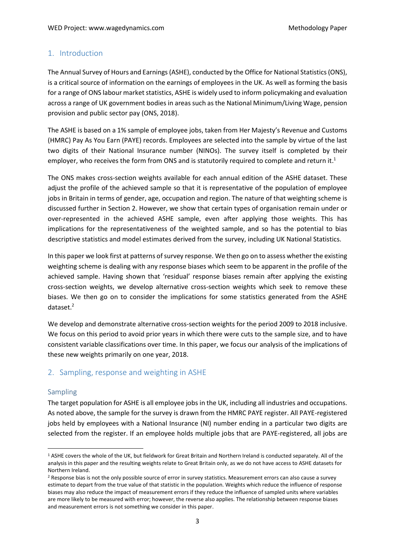## <span id="page-2-0"></span>1. Introduction

The Annual Survey of Hours and Earnings (ASHE), conducted by the Office for National Statistics (ONS), is a critical source of information on the earnings of employees in the UK. As well as forming the basis for a range of ONS labour market statistics, ASHE is widely used to inform policymaking and evaluation across a range of UK government bodies in areas such as the National Minimum/Living Wage, pension provision and public sector pay (ONS, 2018).

The ASHE is based on a 1% sample of employee jobs, taken from Her Majesty's Revenue and Customs (HMRC) Pay As You Earn (PAYE) records. Employees are selected into the sample by virtue of the last two digits of their National Insurance number (NINOs). The survey itself is completed by their employer, who receives the form from ONS and is statutorily required to complete and return it.<sup>1</sup>

The ONS makes cross-section weights available for each annual edition of the ASHE dataset. These adjust the profile of the achieved sample so that it is representative of the population of employee jobs in Britain in terms of gender, age, occupation and region. The nature of that weighting scheme is discussed further in Section 2. However, we show that certain types of organisation remain under or over-represented in the achieved ASHE sample, even after applying those weights. This has implications for the representativeness of the weighted sample, and so has the potential to bias descriptive statistics and model estimates derived from the survey, including UK National Statistics.

In this paper we look first at patterns of survey response. We then go on to assess whether the existing weighting scheme is dealing with any response biases which seem to be apparent in the profile of the achieved sample. Having shown that 'residual' response biases remain after applying the existing cross-section weights, we develop alternative cross-section weights which seek to remove these biases. We then go on to consider the implications for some statistics generated from the ASHE dataset. 2

We develop and demonstrate alternative cross-section weights for the period 2009 to 2018 inclusive. We focus on this period to avoid prior years in which there were cuts to the sample size, and to have consistent variable classifications over time. In this paper, we focus our analysis of the implications of these new weights primarily on one year, 2018.

## <span id="page-2-1"></span>2. Sampling, response and weighting in ASHE

#### <span id="page-2-2"></span>Sampling

The target population for ASHE is all employee jobs in the UK, including all industries and occupations. As noted above, the sample for the survey is drawn from the HMRC PAYE register. All PAYE-registered jobs held by employees with a National Insurance (NI) number ending in a particular two digits are selected from the register. If an employee holds multiple jobs that are PAYE-registered, all jobs are

<sup>1</sup> ASHE covers the whole of the UK, but fieldwork for Great Britain and Northern Ireland is conducted separately. All of the analysis in this paper and the resulting weights relate to Great Britain only, as we do not have access to ASHE datasets for Northern Ireland.

<sup>&</sup>lt;sup>2</sup> Response bias is not the only possible source of error in survey statistics. Measurement errors can also cause a survey estimate to depart from the true value of that statistic in the population. Weights which reduce the influence of response biases may also reduce the impact of measurement errors if they reduce the influence of sampled units where variables are more likely to be measured with error; however, the reverse also applies. The relationship between response biases and measurement errors is not something we consider in this paper.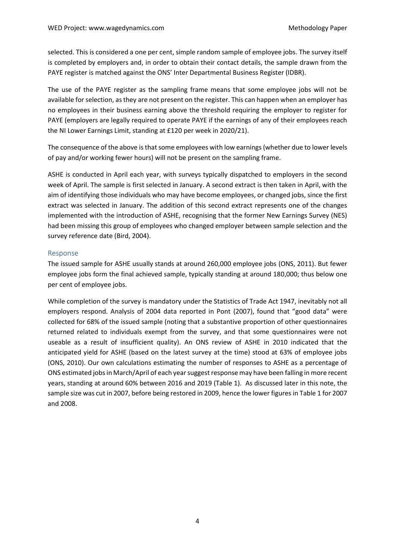selected. This is considered a one per cent, simple random sample of employee jobs. The survey itself is completed by employers and, in order to obtain their contact details, the sample drawn from the PAYE register is matched against the ONS' Inter Departmental Business Register (IDBR).

The use of the PAYE register as the sampling frame means that some employee jobs will not be available for selection, as they are not present on the register. This can happen when an employer has no employees in their business earning above the threshold requiring the employer to register for PAYE (employers are legally required to operate PAYE if the earnings of any of their employees reach the NI Lower Earnings Limit, standing at £120 per week in 2020/21).

The consequence of the above is that some employees with low earnings (whether due to lower levels of pay and/or working fewer hours) will not be present on the sampling frame.

ASHE is conducted in April each year, with surveys typically dispatched to employers in the second week of April. The sample is first selected in January. A second extract is then taken in April, with the aim of identifying those individuals who may have become employees, or changed jobs, since the first extract was selected in January. The addition of this second extract represents one of the changes implemented with the introduction of ASHE, recognising that the former New Earnings Survey (NES) had been missing this group of employees who changed employer between sample selection and the survey reference date (Bird, 2004).

## <span id="page-3-0"></span>Response

The issued sample for ASHE usually stands at around 260,000 employee jobs (ONS, 2011). But fewer employee jobs form the final achieved sample, typically standing at around 180,000; thus below one per cent of employee jobs.

While completion of the survey is mandatory under the Statistics of Trade Act 1947, inevitably not all employers respond. Analysis of 2004 data reported in Pont (2007), found that "good data" were collected for 68% of the issued sample (noting that a substantive proportion of other questionnaires returned related to individuals exempt from the survey, and that some questionnaires were not useable as a result of insufficient quality). An ONS review of ASHE in 2010 indicated that the anticipated yield for ASHE (based on the latest survey at the time) stood at 63% of employee jobs (ONS, 2010). Our own calculations estimating the number of responses to ASHE as a percentage of ONS estimated jobs in March/April of each year suggest response may have been falling in more recent years, standing at around 60% between 2016 and 2019 (Table 1). As discussed later in this note, the sample size was cut in 2007, before being restored in 2009, hence the lower figures in Table 1 for 2007 and 2008.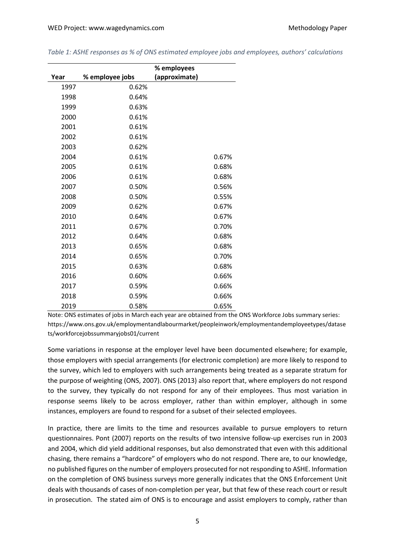|      |                 | % employees   |       |
|------|-----------------|---------------|-------|
| Year | % employee jobs | (approximate) |       |
| 1997 | 0.62%           |               |       |
| 1998 | 0.64%           |               |       |
| 1999 | 0.63%           |               |       |
| 2000 | 0.61%           |               |       |
| 2001 | 0.61%           |               |       |
| 2002 | 0.61%           |               |       |
| 2003 | 0.62%           |               |       |
| 2004 | 0.61%           |               | 0.67% |
| 2005 | 0.61%           |               | 0.68% |
| 2006 | 0.61%           |               | 0.68% |
| 2007 | 0.50%           |               | 0.56% |
| 2008 | 0.50%           |               | 0.55% |
| 2009 | 0.62%           |               | 0.67% |
| 2010 | 0.64%           |               | 0.67% |
| 2011 | 0.67%           |               | 0.70% |
| 2012 | 0.64%           |               | 0.68% |
| 2013 | 0.65%           |               | 0.68% |
| 2014 | 0.65%           |               | 0.70% |
| 2015 | 0.63%           |               | 0.68% |
| 2016 | 0.60%           |               | 0.66% |
| 2017 | 0.59%           |               | 0.66% |
| 2018 | 0.59%           |               | 0.66% |
| 2019 | 0.58%           |               | 0.65% |

*Table 1: ASHE responses as % of ONS estimated employee jobs and employees, authors' calculations*

Note: ONS estimates of jobs in March each year are obtained from the ONS Workforce Jobs summary series: https://www.ons.gov.uk/employmentandlabourmarket/peopleinwork/employmentandemployeetypes/datase ts/workforcejobssummaryjobs01/current

Some variations in response at the employer level have been documented elsewhere; for example, those employers with special arrangements (for electronic completion) are more likely to respond to the survey, which led to employers with such arrangements being treated as a separate stratum for the purpose of weighting (ONS, 2007). ONS (2013) also report that, where employers do not respond to the survey, they typically do not respond for any of their employees. Thus most variation in response seems likely to be across employer, rather than within employer, although in some instances, employers are found to respond for a subset of their selected employees.

In practice, there are limits to the time and resources available to pursue employers to return questionnaires. Pont (2007) reports on the results of two intensive follow-up exercises run in 2003 and 2004, which did yield additional responses, but also demonstrated that even with this additional chasing, there remains a "hardcore" of employers who do not respond. There are, to our knowledge, no published figures on the number of employers prosecuted for not responding to ASHE. Information on the completion of ONS business surveys more generally indicates that the ONS Enforcement Unit deals with thousands of cases of non-completion per year, but that few of these reach court or result in prosecution. The stated aim of ONS is to encourage and assist employers to comply, rather than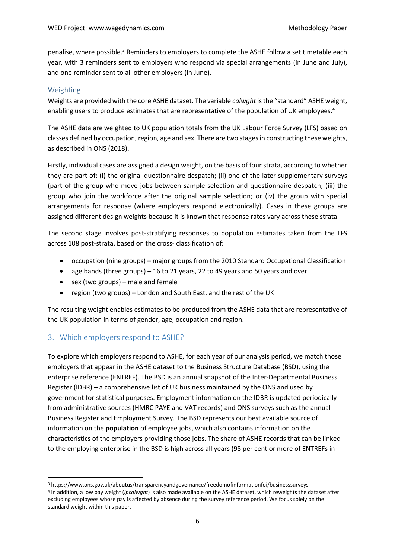penalise, where possible.<sup>3</sup> Reminders to employers to complete the ASHE follow a set timetable each year, with 3 reminders sent to employers who respond via special arrangements (in June and July), and one reminder sent to all other employers (in June).

## <span id="page-5-0"></span>Weighting

Weights are provided with the core ASHE dataset. The variable *calwght* is the "standard" ASHE weight, enabling users to produce estimates that are representative of the population of UK employees.<sup>4</sup>

The ASHE data are weighted to UK population totals from the UK Labour Force Survey (LFS) based on classes defined by occupation, region, age and sex. There are two stages in constructing these weights, as described in ONS (2018).

Firstly, individual cases are assigned a design weight, on the basis of four strata, according to whether they are part of: (i) the original questionnaire despatch; (ii) one of the later supplementary surveys (part of the group who move jobs between sample selection and questionnaire despatch; (iii) the group who join the workforce after the original sample selection; or (iv) the group with special arrangements for response (where employers respond electronically). Cases in these groups are assigned different design weights because it is known that response rates vary across these strata.

The second stage involves post-stratifying responses to population estimates taken from the LFS across 108 post-strata, based on the cross- classification of:

- occupation (nine groups) major groups from the 2010 Standard Occupational Classification
- age bands (three groups) 16 to 21 years, 22 to 49 years and 50 years and over
- sex (two groups) male and female
- region (two groups) London and South East, and the rest of the UK

The resulting weight enables estimates to be produced from the ASHE data that are representative of the UK population in terms of gender, age, occupation and region.

## <span id="page-5-1"></span>3. Which employers respond to ASHE?

To explore which employers respond to ASHE, for each year of our analysis period, we match those employers that appear in the ASHE dataset to the Business Structure Database (BSD), using the enterprise reference (ENTREF). The BSD is an annual snapshot of the Inter-Departmental Business Register (IDBR) – a comprehensive list of UK business maintained by the ONS and used by government for statistical purposes. Employment information on the IDBR is updated periodically from administrative sources (HMRC PAYE and VAT records) and ONS surveys such as the annual Business Register and Employment Survey. The BSD represents our best available source of information on the **population** of employee jobs, which also contains information on the characteristics of the employers providing those jobs. The share of ASHE records that can be linked to the employing enterprise in the BSD is high across all years (98 per cent or more of ENTREFs in

<sup>3</sup> https://www.ons.gov.uk/aboutus/transparencyandgovernance/freedomofinformationfoi/businesssurveys 4 In addition, a low pay weight (*lpcalwght*) is also made available on the ASHE dataset, which reweights the dataset after excluding employees whose pay is affected by absence during the survey reference period. We focus solely on the standard weight within this paper.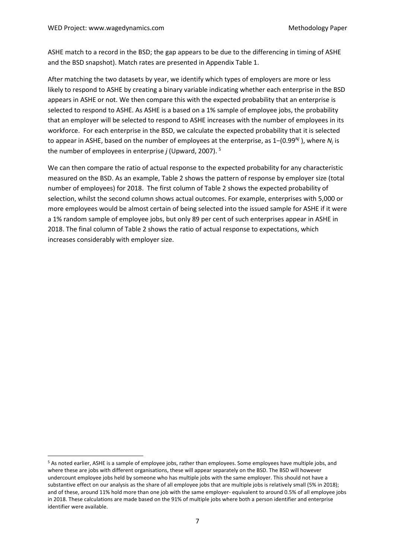ASHE match to a record in the BSD; the gap appears to be due to the differencing in timing of ASHE and the BSD snapshot). Match rates are presented in Appendix Table 1.

After matching the two datasets by year, we identify which types of employers are more or less likely to respond to ASHE by creating a binary variable indicating whether each enterprise in the BSD appears in ASHE or not. We then compare this with the expected probability that an enterprise is selected to respond to ASHE. As ASHE is a based on a 1% sample of employee jobs, the probability that an employer will be selected to respond to ASHE increases with the number of employees in its workforce. For each enterprise in the BSD, we calculate the expected probability that it is selected to appear in ASHE, based on the number of employees at the enterprise, as 1−(0.99*Nj* ), where *N<sup>j</sup>* is the number of employees in enterprise *j* (Upward, 2007). 5

We can then compare the ratio of actual response to the expected probability for any characteristic measured on the BSD. As an example, Table 2 shows the pattern of response by employer size (total number of employees) for 2018. The first column of Table 2 shows the expected probability of selection, whilst the second column shows actual outcomes. For example, enterprises with 5,000 or more employees would be almost certain of being selected into the issued sample for ASHE if it were a 1% random sample of employee jobs, but only 89 per cent of such enterprises appear in ASHE in 2018. The final column of Table 2 shows the ratio of actual response to expectations, which increases considerably with employer size.

<sup>5</sup> As noted earlier, ASHE is a sample of employee jobs, rather than employees. Some employees have multiple jobs, and where these are jobs with different organisations, these will appear separately on the BSD. The BSD will however undercount employee jobs held by someone who has multiple jobs with the same employer. This should not have a substantive effect on our analysis as the share of all employee jobs that are multiple jobs is relatively small (5% in 2018); and of these, around 11% hold more than one job with the same employer- equivalent to around 0.5% of all employee jobs in 2018. These calculations are made based on the 91% of multiple jobs where both a person identifier and enterprise identifier were available.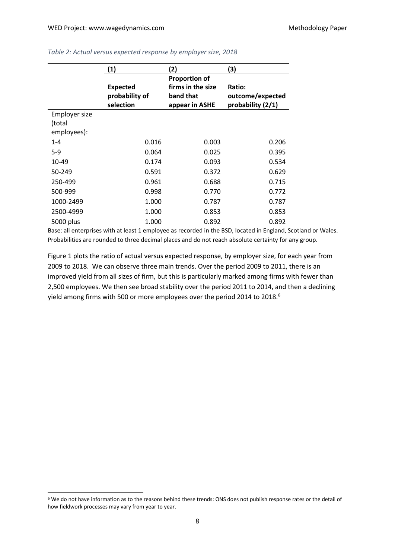|               | (1)             | (2)                  | (3)               |
|---------------|-----------------|----------------------|-------------------|
|               |                 | <b>Proportion of</b> |                   |
|               | <b>Expected</b> | firms in the size    | Ratio:            |
|               | probability of  | band that            | outcome/expected  |
|               | selection       | appear in ASHE       | probability (2/1) |
| Employer size |                 |                      |                   |
| (total        |                 |                      |                   |
| employees):   |                 |                      |                   |
| $1 - 4$       | 0.016           | 0.003                | 0.206             |
| $5-9$         | 0.064           | 0.025                | 0.395             |
| 10-49         | 0.174           | 0.093                | 0.534             |
| 50-249        | 0.591           | 0.372                | 0.629             |
| 250-499       | 0.961           | 0.688                | 0.715             |
| 500-999       | 0.998           | 0.770                | 0.772             |
| 1000-2499     | 1.000           | 0.787                | 0.787             |
| 2500-4999     | 1.000           | 0.853                | 0.853             |
| 5000 plus     | 1.000           | 0.892                | 0.892             |

#### *Table 2: Actual versus expected response by employer size, 2018*

Base: all enterprises with at least 1 employee as recorded in the BSD, located in England, Scotland or Wales. Probabilities are rounded to three decimal places and do not reach absolute certainty for any group.

Figure 1 plots the ratio of actual versus expected response, by employer size, for each year from 2009 to 2018. We can observe three main trends. Over the period 2009 to 2011, there is an improved yield from all sizes of firm, but this is particularly marked among firms with fewer than 2,500 employees. We then see broad stability over the period 2011 to 2014, and then a declining yield among firms with 500 or more employees over the period 2014 to 2018.<sup>6</sup>

<sup>6</sup> We do not have information as to the reasons behind these trends: ONS does not publish response rates or the detail of how fieldwork processes may vary from year to year.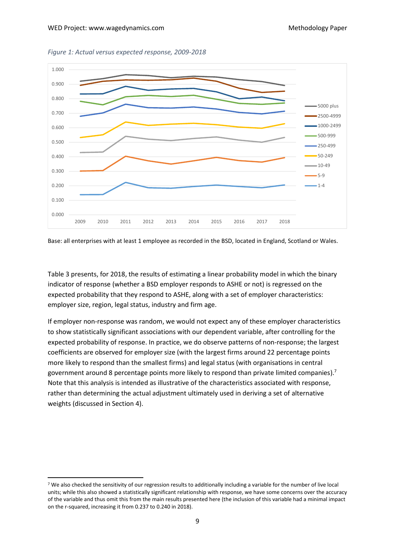



Base: all enterprises with at least 1 employee as recorded in the BSD, located in England, Scotland or Wales.

Table 3 presents, for 2018, the results of estimating a linear probability model in which the binary indicator of response (whether a BSD employer responds to ASHE or not) is regressed on the expected probability that they respond to ASHE, along with a set of employer characteristics: employer size, region, legal status, industry and firm age.

If employer non-response was random, we would not expect any of these employer characteristics to show statistically significant associations with our dependent variable, after controlling for the expected probability of response. In practice, we do observe patterns of non-response; the largest coefficients are observed for employer size (with the largest firms around 22 percentage points more likely to respond than the smallest firms) and legal status (with organisations in central government around 8 percentage points more likely to respond than private limited companies).<sup>7</sup> Note that this analysis is intended as illustrative of the characteristics associated with response, rather than determining the actual adjustment ultimately used in deriving a set of alternative weights (discussed in Section 4).

<sup>7</sup> We also checked the sensitivity of our regression results to additionally including a variable for the number of live local units; while this also showed a statistically significant relationship with response, we have some concerns over the accuracy of the variable and thus omit this from the main results presented here (the inclusion of this variable had a minimal impact on the r-squared, increasing it from 0.237 to 0.240 in 2018).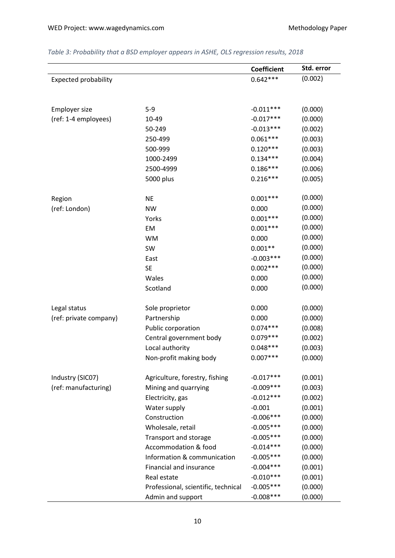|                             |                                     | <b>Coefficient</b> | Std. error |
|-----------------------------|-------------------------------------|--------------------|------------|
| <b>Expected probability</b> |                                     | $0.642***$         | (0.002)    |
|                             |                                     |                    |            |
|                             |                                     |                    |            |
| Employer size               | $5-9$                               | $-0.011***$        | (0.000)    |
| (ref: 1-4 employees)        | 10-49                               | $-0.017***$        | (0.000)    |
|                             | 50-249                              | $-0.013***$        | (0.002)    |
|                             | 250-499                             | $0.061***$         | (0.003)    |
|                             | 500-999                             | $0.120***$         | (0.003)    |
|                             | 1000-2499                           | $0.134***$         | (0.004)    |
|                             | 2500-4999                           | $0.186***$         | (0.006)    |
|                             | 5000 plus                           | $0.216***$         | (0.005)    |
|                             |                                     |                    |            |
| Region                      | <b>NE</b>                           | $0.001***$         | (0.000)    |
| (ref: London)               | <b>NW</b>                           | 0.000              | (0.000)    |
|                             | Yorks                               | $0.001***$         | (0.000)    |
|                             | EM                                  | $0.001***$         | (0.000)    |
|                             | <b>WM</b>                           | 0.000              | (0.000)    |
|                             | SW                                  | $0.001**$          | (0.000)    |
|                             | East                                | $-0.003***$        | (0.000)    |
|                             | <b>SE</b>                           | $0.002***$         | (0.000)    |
|                             | Wales                               | 0.000              | (0.000)    |
|                             | Scotland                            | 0.000              | (0.000)    |
|                             |                                     |                    |            |
| Legal status                | Sole proprietor                     | 0.000              | (0.000)    |
| (ref: private company)      | Partnership                         | 0.000              | (0.000)    |
|                             | Public corporation                  | $0.074***$         | (0.008)    |
|                             | Central government body             | $0.079***$         | (0.002)    |
|                             | Local authority                     | $0.048***$         | (0.003)    |
|                             | Non-profit making body              | $0.007***$         | (0.000)    |
|                             |                                     |                    |            |
| Industry (SIC07)            | Agriculture, forestry, fishing      | $-0.017***$        | (0.001)    |
| (ref: manufacturing)        | Mining and quarrying                | $-0.009***$        | (0.003)    |
|                             | Electricity, gas                    | $-0.012***$        | (0.002)    |
|                             | Water supply                        | $-0.001$           | (0.001)    |
|                             | Construction                        | $-0.006***$        | (0.000)    |
|                             | Wholesale, retail                   | $-0.005***$        | (0.000)    |
|                             | Transport and storage               | $-0.005***$        | (0.000)    |
|                             | Accommodation & food                | $-0.014***$        | (0.000)    |
|                             | Information & communication         | $-0.005***$        | (0.000)    |
|                             | Financial and insurance             | $-0.004***$        | (0.001)    |
|                             | Real estate                         | $-0.010***$        | (0.001)    |
|                             | Professional, scientific, technical | $-0.005***$        | (0.000)    |
|                             | Admin and support                   | $-0.008***$        | (0.000)    |

## *Table 3: Probability that a BSD employer appears in ASHE, OLS regression results, 2018*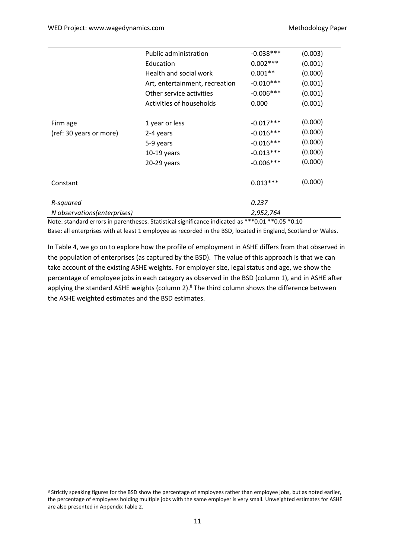|                              | <b>Public administration</b>   | $-0.038***$ | (0.003) |
|------------------------------|--------------------------------|-------------|---------|
|                              | Education                      | $0.002***$  | (0.001) |
|                              | Health and social work         | $0.001**$   | (0.000) |
|                              | Art, entertainment, recreation | $-0.010***$ | (0.001) |
|                              | Other service activities       | $-0.006***$ | (0.001) |
|                              | Activities of households       | 0.000       | (0.001) |
|                              |                                |             |         |
| Firm age                     | 1 year or less                 | $-0.017***$ | (0.000) |
| (ref: 30 years or more)      | 2-4 years                      | $-0.016***$ | (0.000) |
|                              | 5-9 years                      | $-0.016***$ | (0.000) |
|                              | $10-19$ years                  | $-0.013***$ | (0.000) |
|                              | 20-29 years                    | $-0.006***$ | (0.000) |
|                              |                                |             |         |
| Constant                     |                                | $0.013***$  | (0.000) |
| R-squared                    |                                | 0.237       |         |
| N observations (enterprises) |                                | 2,952,764   |         |
|                              |                                |             |         |

Note: standard errors in parentheses. Statistical significance indicated as \*\*\*0.01 \*\*0.05 \*0.10 Base: all enterprises with at least 1 employee as recorded in the BSD, located in England, Scotland or Wales.

In Table 4, we go on to explore how the profile of employment in ASHE differs from that observed in the population of enterprises (as captured by the BSD). The value of this approach is that we can take account of the existing ASHE weights. For employer size, legal status and age, we show the percentage of employee jobs in each category as observed in the BSD (column 1), and in ASHE after applying the standard ASHE weights (column 2).<sup>8</sup> The third column shows the difference between the ASHE weighted estimates and the BSD estimates.

<sup>&</sup>lt;sup>8</sup> Strictly speaking figures for the BSD show the percentage of employees rather than employee jobs, but as noted earlier, the percentage of employees holding multiple jobs with the same employer is very small. Unweighted estimates for ASHE are also presented in Appendix Table 2.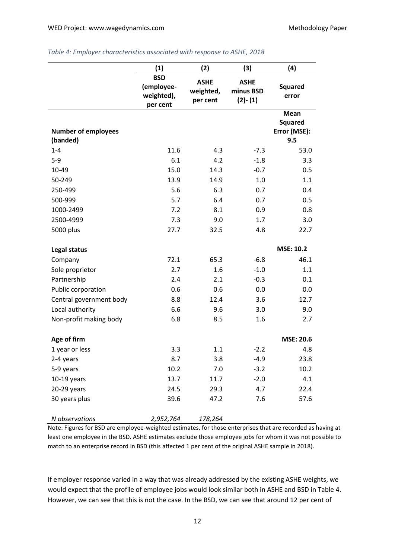|                                        | (1)                                                | (2)                                  | (3)                                   | (4)                                           |
|----------------------------------------|----------------------------------------------------|--------------------------------------|---------------------------------------|-----------------------------------------------|
|                                        | <b>BSD</b><br>(employee-<br>weighted),<br>per cent | <b>ASHE</b><br>weighted,<br>per cent | <b>ASHE</b><br>minus BSD<br>$(2)-(1)$ | <b>Squared</b><br>error                       |
| <b>Number of employees</b><br>(banded) |                                                    |                                      |                                       | Mean<br><b>Squared</b><br>Error (MSE):<br>9.5 |
| $1 - 4$                                | 11.6                                               | 4.3                                  | $-7.3$                                | 53.0                                          |
| $5-9$                                  | 6.1                                                | 4.2                                  | $-1.8$                                | 3.3                                           |
| 10-49                                  | 15.0                                               | 14.3                                 | $-0.7$                                | 0.5                                           |
| 50-249                                 | 13.9                                               | 14.9                                 | 1.0                                   | 1.1                                           |
| 250-499                                | 5.6                                                | 6.3                                  | 0.7                                   | 0.4                                           |
| 500-999                                | 5.7                                                | 6.4                                  | 0.7                                   | 0.5                                           |
| 1000-2499                              | 7.2                                                | 8.1                                  | 0.9                                   | 0.8                                           |
| 2500-4999                              | 7.3                                                | 9.0                                  | 1.7                                   | 3.0                                           |
| 5000 plus                              | 27.7                                               | 32.5                                 | 4.8                                   | 22.7                                          |
| <b>Legal status</b>                    |                                                    |                                      |                                       | <b>MSE: 10.2</b>                              |
| Company                                | 72.1                                               | 65.3                                 | $-6.8$                                | 46.1                                          |
| Sole proprietor                        | 2.7                                                | 1.6                                  | $-1.0$                                | 1.1                                           |
| Partnership                            | 2.4                                                | 2.1                                  | $-0.3$                                | 0.1                                           |
| Public corporation                     | 0.6                                                | 0.6                                  | 0.0                                   | 0.0                                           |
| Central government body                | 8.8                                                | 12.4                                 | 3.6                                   | 12.7                                          |
| Local authority                        | 6.6                                                | 9.6                                  | 3.0                                   | 9.0                                           |
| Non-profit making body                 | 6.8                                                | 8.5                                  | 1.6                                   | 2.7                                           |
| Age of firm                            |                                                    |                                      |                                       | <b>MSE: 20.6</b>                              |
| 1 year or less                         | 3.3                                                | 1.1                                  | $-2.2$                                | 4.8                                           |
| 2-4 years                              | 8.7                                                | 3.8                                  | $-4.9$                                | 23.8                                          |
| 5-9 years                              | 10.2                                               | 7.0                                  | $-3.2$                                | 10.2                                          |
| $10-19$ years                          | 13.7                                               | 11.7                                 | $-2.0$                                | 4.1                                           |
| 20-29 years                            | 24.5                                               | 29.3                                 | 4.7                                   | 22.4                                          |
| 30 years plus                          | 39.6                                               | 47.2                                 | 7.6                                   | 57.6                                          |
| N observations                         | 2,952,764                                          | 178,264                              |                                       |                                               |

#### *Table 4: Employer characteristics associated with response to ASHE, 2018*

Note: Figures for BSD are employee-weighted estimates, for those enterprises that are recorded as having at least one employee in the BSD. ASHE estimates exclude those employee jobs for whom it was not possible to match to an enterprise record in BSD (this affected 1 per cent of the original ASHE sample in 2018).

If employer response varied in a way that was already addressed by the existing ASHE weights, we would expect that the profile of employee jobs would look similar both in ASHE and BSD in Table 4. However, we can see that this is not the case. In the BSD, we can see that around 12 per cent of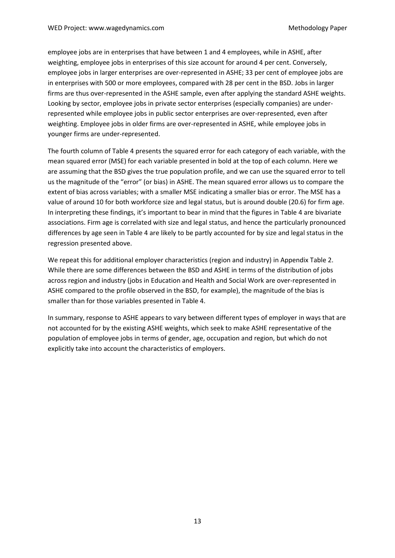employee jobs are in enterprises that have between 1 and 4 employees, while in ASHE, after weighting, employee jobs in enterprises of this size account for around 4 per cent. Conversely, employee jobs in larger enterprises are over-represented in ASHE; 33 per cent of employee jobs are in enterprises with 500 or more employees, compared with 28 per cent in the BSD. Jobs in larger firms are thus over-represented in the ASHE sample, even after applying the standard ASHE weights. Looking by sector, employee jobs in private sector enterprises (especially companies) are underrepresented while employee jobs in public sector enterprises are over-represented, even after weighting. Employee jobs in older firms are over-represented in ASHE, while employee jobs in younger firms are under-represented.

The fourth column of Table 4 presents the squared error for each category of each variable, with the mean squared error (MSE) for each variable presented in bold at the top of each column. Here we are assuming that the BSD gives the true population profile, and we can use the squared error to tell us the magnitude of the "error" (or bias) in ASHE. The mean squared error allows us to compare the extent of bias across variables; with a smaller MSE indicating a smaller bias or error. The MSE has a value of around 10 for both workforce size and legal status, but is around double (20.6) for firm age. In interpreting these findings, it's important to bear in mind that the figures in Table 4 are bivariate associations. Firm age is correlated with size and legal status, and hence the particularly pronounced differences by age seen in Table 4 are likely to be partly accounted for by size and legal status in the regression presented above.

We repeat this for additional employer characteristics (region and industry) in Appendix Table 2. While there are some differences between the BSD and ASHE in terms of the distribution of jobs across region and industry (jobs in Education and Health and Social Work are over-represented in ASHE compared to the profile observed in the BSD, for example), the magnitude of the bias is smaller than for those variables presented in Table 4.

In summary, response to ASHE appears to vary between different types of employer in ways that are not accounted for by the existing ASHE weights, which seek to make ASHE representative of the population of employee jobs in terms of gender, age, occupation and region, but which do not explicitly take into account the characteristics of employers.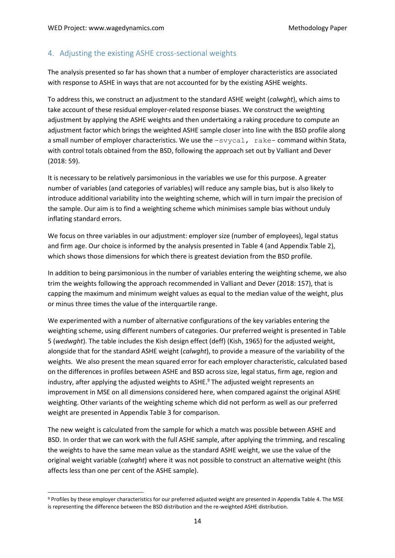## <span id="page-13-0"></span>4. Adjusting the existing ASHE cross-sectional weights

The analysis presented so far has shown that a number of employer characteristics are associated with response to ASHE in ways that are not accounted for by the existing ASHE weights.

To address this, we construct an adjustment to the standard ASHE weight (*calwght*), which aims to take account of these residual employer-related response biases. We construct the weighting adjustment by applying the ASHE weights and then undertaking a raking procedure to compute an adjustment factor which brings the weighted ASHE sample closer into line with the BSD profile along a small number of employer characteristics. We use the  $-s$ vycal, rake- command within Stata, with control totals obtained from the BSD, following the approach set out by Valliant and Dever (2018: 59).

It is necessary to be relatively parsimonious in the variables we use for this purpose. A greater number of variables (and categories of variables) will reduce any sample bias, but is also likely to introduce additional variability into the weighting scheme, which will in turn impair the precision of the sample. Our aim is to find a weighting scheme which minimises sample bias without unduly inflating standard errors.

We focus on three variables in our adjustment: employer size (number of employees), legal status and firm age. Our choice is informed by the analysis presented in Table 4 (and Appendix Table 2), which shows those dimensions for which there is greatest deviation from the BSD profile.

In addition to being parsimonious in the number of variables entering the weighting scheme, we also trim the weights following the approach recommended in Valliant and Dever (2018: 157), that is capping the maximum and minimum weight values as equal to the median value of the weight, plus or minus three times the value of the interquartile range.

We experimented with a number of alternative configurations of the key variables entering the weighting scheme, using different numbers of categories. Our preferred weight is presented in Table 5 (*wedwght*). The table includes the Kish design effect (deff) (Kish, 1965) for the adjusted weight, alongside that for the standard ASHE weight (*calwght*), to provide a measure of the variability of the weights. We also present the mean squared error for each employer characteristic, calculated based on the differences in profiles between ASHE and BSD across size, legal status, firm age, region and industry, after applying the adjusted weights to ASHE. <sup>9</sup> The adjusted weight represents an improvement in MSE on all dimensions considered here, when compared against the original ASHE weighting. Other variants of the weighting scheme which did not perform as well as our preferred weight are presented in Appendix Table 3 for comparison.

The new weight is calculated from the sample for which a match was possible between ASHE and BSD. In order that we can work with the full ASHE sample, after applying the trimming, and rescaling the weights to have the same mean value as the standard ASHE weight, we use the value of the original weight variable (*calwght*) where it was not possible to construct an alternative weight (this affects less than one per cent of the ASHE sample).

<sup>9</sup> Profiles by these employer characteristics for our preferred adjusted weight are presented in Appendix Table 4. The MSE is representing the difference between the BSD distribution and the re-weighted ASHE distribution.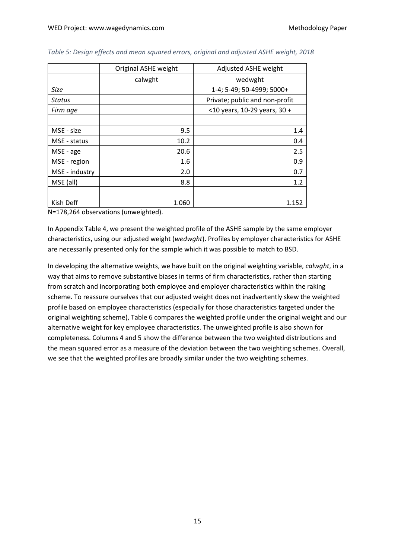|                | Original ASHE weight | Adjusted ASHE weight            |  |  |
|----------------|----------------------|---------------------------------|--|--|
|                | calwght              | wedwght                         |  |  |
| Size           |                      | 1-4; 5-49; 50-4999; 5000+       |  |  |
| Status         |                      | Private; public and non-profit  |  |  |
| Firm age       |                      | $<$ 10 years, 10-29 years, 30 + |  |  |
|                |                      |                                 |  |  |
| MSE - size     | 9.5                  | 1.4                             |  |  |
| MSE - status   | 10.2                 | 0.4                             |  |  |
| MSE - age      | 20.6                 | 2.5                             |  |  |
| MSE - region   | 1.6                  | 0.9                             |  |  |
| MSE - industry | 2.0                  | 0.7                             |  |  |
| MSE (all)      | 8.8                  | 1.2                             |  |  |
|                |                      |                                 |  |  |
| Kish Deff      | 1.060                | 1.152                           |  |  |

#### *Table 5: Design effects and mean squared errors, original and adjusted ASHE weight, 2018*

N=178,264 observations (unweighted).

In Appendix Table 4, we present the weighted profile of the ASHE sample by the same employer characteristics, using our adjusted weight (*wedwght*). Profiles by employer characteristics for ASHE are necessarily presented only for the sample which it was possible to match to BSD.

In developing the alternative weights, we have built on the original weighting variable, *calwght*, in a way that aims to remove substantive biases in terms of firm characteristics, rather than starting from scratch and incorporating both employee and employer characteristics within the raking scheme. To reassure ourselves that our adjusted weight does not inadvertently skew the weighted profile based on employee characteristics (especially for those characteristics targeted under the original weighting scheme), Table 6 compares the weighted profile under the original weight and our alternative weight for key employee characteristics. The unweighted profile is also shown for completeness. Columns 4 and 5 show the difference between the two weighted distributions and the mean squared error as a measure of the deviation between the two weighting schemes. Overall, we see that the weighted profiles are broadly similar under the two weighting schemes.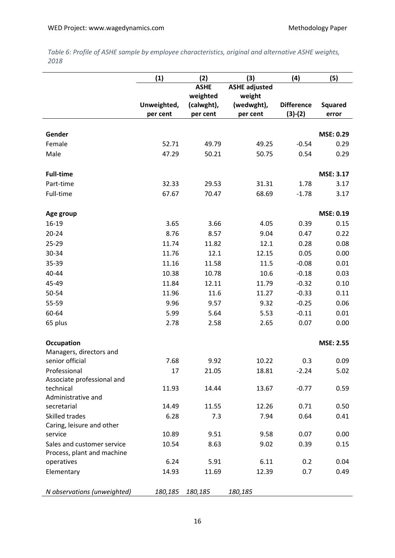*Table 6: Profile of ASHE sample by employee characteristics, original and alternative ASHE weights, 2018*

|                                 | (1)         | (2)         | (3)                  | (4)               | (5)              |
|---------------------------------|-------------|-------------|----------------------|-------------------|------------------|
|                                 |             | <b>ASHE</b> | <b>ASHE adjusted</b> |                   |                  |
|                                 |             | weighted    | weight               |                   |                  |
|                                 | Unweighted, | (calwght),  | (wedwght),           | <b>Difference</b> | <b>Squared</b>   |
|                                 | per cent    | per cent    | per cent             | $(3)-(2)$         | error            |
| Gender                          |             |             |                      |                   | MSE: 0.29        |
| Female                          | 52.71       | 49.79       | 49.25                | $-0.54$           | 0.29             |
| Male                            | 47.29       | 50.21       | 50.75                | 0.54              | 0.29             |
| <b>Full-time</b>                |             |             |                      |                   | MSE: 3.17        |
| Part-time                       | 32.33       | 29.53       | 31.31                | 1.78              | 3.17             |
| Full-time                       | 67.67       | 70.47       | 68.69                | $-1.78$           | 3.17             |
| Age group                       |             |             |                      |                   | MSE: 0.19        |
| 16-19                           | 3.65        | 3.66        | 4.05                 | 0.39              | 0.15             |
| $20 - 24$                       | 8.76        | 8.57        | 9.04                 | 0.47              | 0.22             |
| 25-29                           | 11.74       | 11.82       | 12.1                 | 0.28              | 0.08             |
| 30-34                           | 11.76       | 12.1        | 12.15                | 0.05              | 0.00             |
| 35-39                           | 11.16       | 11.58       | 11.5                 | $-0.08$           | 0.01             |
| 40-44                           | 10.38       | 10.78       | 10.6                 | $-0.18$           | 0.03             |
| 45-49                           | 11.84       | 12.11       | 11.79                | $-0.32$           | 0.10             |
| 50-54                           | 11.96       | 11.6        | 11.27                | $-0.33$           | 0.11             |
| 55-59                           | 9.96        | 9.57        | 9.32                 | $-0.25$           | 0.06             |
| 60-64                           | 5.99        | 5.64        | 5.53                 | $-0.11$           | 0.01             |
| 65 plus                         | 2.78        | 2.58        | 2.65                 | 0.07              | 0.00             |
| Occupation                      |             |             |                      |                   | <b>MSE: 2.55</b> |
| Managers, directors and         |             |             |                      |                   |                  |
| senior official                 | 7.68        | 9.92        | 10.22                | 0.3               | 0.09             |
| Professional                    | 17          | 21.05       | 18.81                | $-2.24$           | 5.02             |
| Associate professional and      |             |             |                      |                   |                  |
| technical<br>Administrative and | 11.93       | 14.44       | 13.67                | $-0.77$           | 0.59             |
| secretarial                     | 14.49       | 11.55       | 12.26                | 0.71              | 0.50             |
| Skilled trades                  | 6.28        | 7.3         | 7.94                 | 0.64              | 0.41             |
| Caring, leisure and other       |             |             |                      |                   |                  |
| service                         | 10.89       | 9.51        | 9.58                 | 0.07              | 0.00             |
| Sales and customer service      | 10.54       | 8.63        | 9.02                 | 0.39              | 0.15             |
| Process, plant and machine      |             |             |                      |                   |                  |
| operatives                      | 6.24        | 5.91        | 6.11                 | 0.2               | 0.04             |
| Elementary                      | 14.93       | 11.69       | 12.39                | 0.7               | 0.49             |
| N observations (unweighted)     | 180,185     | 180,185     | 180,185              |                   |                  |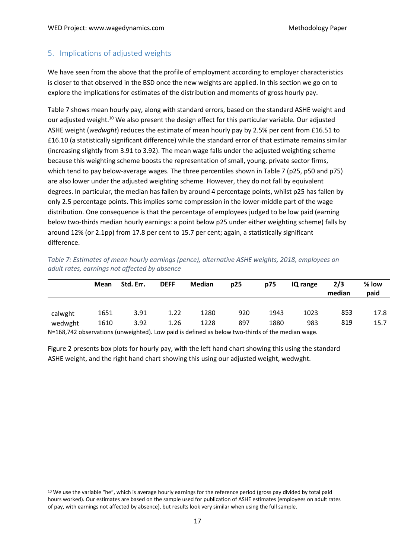## <span id="page-16-0"></span>5. Implications of adjusted weights

We have seen from the above that the profile of employment according to employer characteristics is closer to that observed in the BSD once the new weights are applied. In this section we go on to explore the implications for estimates of the distribution and moments of gross hourly pay.

Table 7 shows mean hourly pay, along with standard errors, based on the standard ASHE weight and our adjusted weight.<sup>10</sup> We also present the design effect for this particular variable. Our adjusted ASHE weight (*wedwght*) reduces the estimate of mean hourly pay by 2.5% per cent from £16.51 to £16.10 (a statistically significant difference) while the standard error of that estimate remains similar (increasing slightly from 3.91 to 3.92). The mean wage falls under the adjusted weighting scheme because this weighting scheme boosts the representation of small, young, private sector firms, which tend to pay below-average wages. The three percentiles shown in Table 7 (p25, p50 and p75) are also lower under the adjusted weighting scheme. However, they do not fall by equivalent degrees. In particular, the median has fallen by around 4 percentage points, whilst p25 has fallen by only 2.5 percentage points. This implies some compression in the lower-middle part of the wage distribution. One consequence is that the percentage of employees judged to be low paid (earning below two-thirds median hourly earnings: a point below p25 under either weighting scheme) falls by around 12% (or 2.1pp) from 17.8 per cent to 15.7 per cent; again, a statistically significant difference.

|         | <b>Mean</b> | Std. Err. | <b>DEFF</b> | Median | p25 | p75  | IQ range | 2/3<br>median | % low<br>paid |
|---------|-------------|-----------|-------------|--------|-----|------|----------|---------------|---------------|
| calwght | 1651        | 3.91      | 1.22        | 1280   | 920 | 1943 | 1023     | 853           | 17.8          |
| wedwght | 1610        | 3.92      | 1.26        | 1228   | 897 | 1880 | 983      | 819           | 15.7          |

*Table 7: Estimates of mean hourly earnings (pence), alternative ASHE weights, 2018, employees on adult rates, earnings not affected by absence*

N=168,742 observations (unweighted). Low paid is defined as below two-thirds of the median wage.

Figure 2 presents box plots for hourly pay, with the left hand chart showing this using the standard ASHE weight, and the right hand chart showing this using our adjusted weight, wedwght.

<sup>&</sup>lt;sup>10</sup> We use the variable "he", which is average hourly earnings for the reference period (gross pay divided by total paid hours worked). Our estimates are based on the sample used for publication of ASHE estimates (employees on adult rates of pay, with earnings not affected by absence), but results look very similar when using the full sample.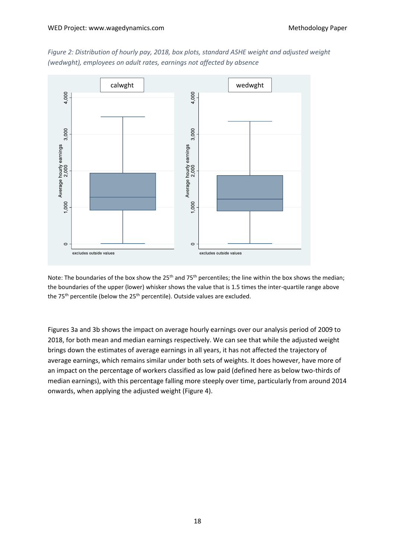

*Figure 2: Distribution of hourly pay, 2018, box plots, standard ASHE weight and adjusted weight (wedwght), employees on adult rates, earnings not affected by absence*

Note: The boundaries of the box show the 25<sup>th</sup> and 75<sup>th</sup> percentiles; the line within the box shows the median; the boundaries of the upper (lower) whisker shows the value that is 1.5 times the inter-quartile range above the 75<sup>th</sup> percentile (below the 25<sup>th</sup> percentile). Outside values are excluded.

Figures 3a and 3b shows the impact on average hourly earnings over our analysis period of 2009 to 2018, for both mean and median earnings respectively. We can see that while the adjusted weight brings down the estimates of average earnings in all years, it has not affected the trajectory of average earnings, which remains similar under both sets of weights. It does however, have more of an impact on the percentage of workers classified as low paid (defined here as below two-thirds of median earnings), with this percentage falling more steeply over time, particularly from around 2014 onwards, when applying the adjusted weight (Figure 4).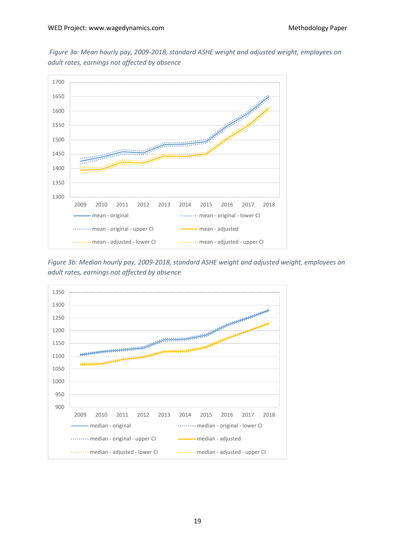*Figure 3a: Mean hourly pay, 2009-2018, standard ASHE weight and adjusted weight, employees on adult rates, earnings not affected by absence*



*Figure 3b: Median hourly pay, 2009-2018, standard ASHE weight and adjusted weight, employees on adult rates, earnings not affected by absence*

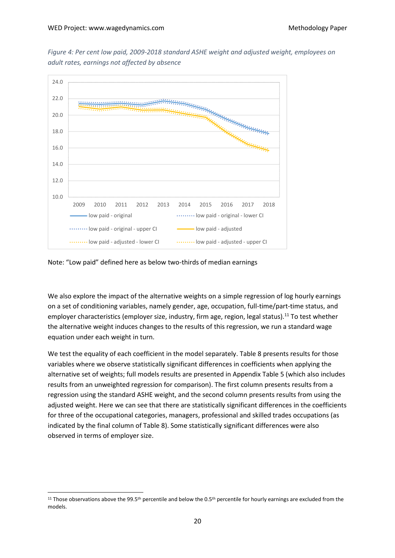*Figure 4: Per cent low paid, 2009-2018 standard ASHE weight and adjusted weight, employees on adult rates, earnings not affected by absence*



Note: "Low paid" defined here as below two-thirds of median earnings

We also explore the impact of the alternative weights on a simple regression of log hourly earnings on a set of conditioning variables, namely gender, age, occupation, full-time/part-time status, and employer characteristics (employer size, industry, firm age, region, legal status).<sup>11</sup> To test whether the alternative weight induces changes to the results of this regression, we run a standard wage equation under each weight in turn.

We test the equality of each coefficient in the model separately. Table 8 presents results for those variables where we observe statistically significant differences in coefficients when applying the alternative set of weights; full models results are presented in Appendix Table 5 (which also includes results from an unweighted regression for comparison). The first column presents results from a regression using the standard ASHE weight, and the second column presents results from using the adjusted weight. Here we can see that there are statistically significant differences in the coefficients for three of the occupational categories, managers, professional and skilled trades occupations (as indicated by the final column of Table 8). Some statistically significant differences were also observed in terms of employer size.

<sup>&</sup>lt;sup>11</sup> Those observations above the 99.5<sup>th</sup> percentile and below the 0.5<sup>th</sup> percentile for hourly earnings are excluded from the models.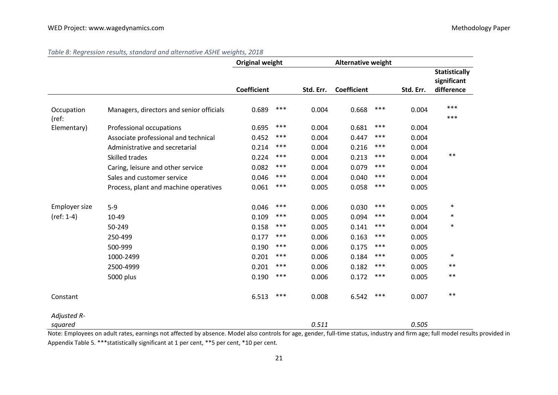|                        |                                          | <b>Original weight</b> |       | <b>Alternative weight</b> |                    |       |           |                                                   |
|------------------------|------------------------------------------|------------------------|-------|---------------------------|--------------------|-------|-----------|---------------------------------------------------|
|                        |                                          | <b>Coefficient</b>     |       | Std. Err.                 | <b>Coefficient</b> |       | Std. Err. | <b>Statistically</b><br>significant<br>difference |
| Occupation<br>(ref:    | Managers, directors and senior officials | 0.689                  | ***   | 0.004                     | 0.668              | ***   | 0.004     | ***<br>$***$                                      |
| Elementary)            | Professional occupations                 | 0.695                  | $***$ | 0.004                     | 0.681              | $***$ | 0.004     |                                                   |
|                        | Associate professional and technical     | 0.452                  | ***   | 0.004                     | 0.447              | ***   | 0.004     |                                                   |
|                        | Administrative and secretarial           | 0.214                  | ***   | 0.004                     | 0.216              | ***   | 0.004     |                                                   |
|                        | Skilled trades                           | 0.224                  | $***$ | 0.004                     | 0.213              | $***$ | 0.004     | $***$                                             |
|                        | Caring, leisure and other service        | 0.082                  | ***   | 0.004                     | 0.079              | ***   | 0.004     |                                                   |
|                        | Sales and customer service               | 0.046                  | $***$ | 0.004                     | 0.040              | ***   | 0.004     |                                                   |
|                        | Process, plant and machine operatives    | 0.061                  | ***   | 0.005                     | 0.058              | ***   | 0.005     |                                                   |
| Employer size          | $5-9$                                    | 0.046                  | ***   | 0.006                     | 0.030              | ***   | 0.005     | $\ast$                                            |
| $(ref: 1-4)$           | 10-49                                    | 0.109                  | ***   | 0.005                     | 0.094              | ***   | 0.004     | $\ast$                                            |
|                        | 50-249                                   | 0.158                  | $***$ | 0.005                     | 0.141              | ***   | 0.004     | $\ast$                                            |
|                        | 250-499                                  | 0.177                  | ***   | 0.006                     | 0.163              | ***   | 0.005     |                                                   |
|                        | 500-999                                  | 0.190                  | ***   | 0.006                     | 0.175              | ***   | 0.005     |                                                   |
|                        | 1000-2499                                | 0.201                  | ***   | 0.006                     | 0.184              | ***   | 0.005     | $\ast$                                            |
|                        | 2500-4999                                | 0.201                  | ***   | 0.006                     | 0.182              | ***   | 0.005     | $***$                                             |
|                        | 5000 plus                                | 0.190                  | ***   | 0.006                     | 0.172              | ***   | 0.005     | $***$                                             |
| Constant               |                                          | 6.513                  | $***$ | 0.008                     | 6.542              | $***$ | 0.007     | $***$                                             |
| Adjusted R-<br>squared |                                          |                        |       | 0.511                     |                    |       | 0.505     |                                                   |

*Table 8: Regression results, standard and alternative ASHE weights, 2018*

Note: Employees on adult rates, earnings not affected by absence. Model also controls for age, gender, full-time status, industry and firm age; full model results provided in Appendix Table 5. \*\*\*statistically significant at 1 per cent, \*\*5 per cent, \*10 per cent.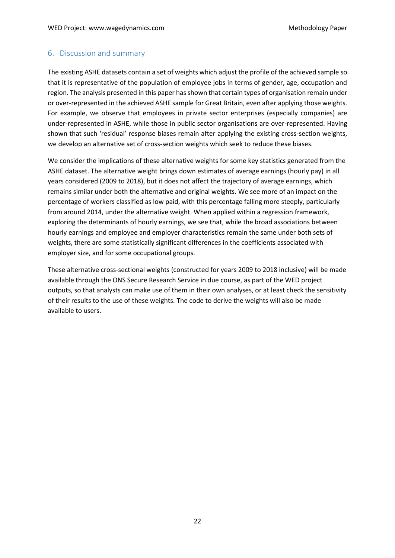#### <span id="page-21-0"></span>6. Discussion and summary

The existing ASHE datasets contain a set of weights which adjust the profile of the achieved sample so that it is representative of the population of employee jobs in terms of gender, age, occupation and region. The analysis presented in this paper has shown that certain types of organisation remain under or over-represented in the achieved ASHE sample for Great Britain, even after applying those weights. For example, we observe that employees in private sector enterprises (especially companies) are under-represented in ASHE, while those in public sector organisations are over-represented. Having shown that such 'residual' response biases remain after applying the existing cross-section weights, we develop an alternative set of cross-section weights which seek to reduce these biases.

We consider the implications of these alternative weights for some key statistics generated from the ASHE dataset. The alternative weight brings down estimates of average earnings (hourly pay) in all years considered (2009 to 2018), but it does not affect the trajectory of average earnings, which remains similar under both the alternative and original weights. We see more of an impact on the percentage of workers classified as low paid, with this percentage falling more steeply, particularly from around 2014, under the alternative weight. When applied within a regression framework, exploring the determinants of hourly earnings, we see that, while the broad associations between hourly earnings and employee and employer characteristics remain the same under both sets of weights, there are some statistically significant differences in the coefficients associated with employer size, and for some occupational groups.

These alternative cross-sectional weights (constructed for years 2009 to 2018 inclusive) will be made available through the ONS Secure Research Service in due course, as part of the WED project outputs, so that analysts can make use of them in their own analyses, or at least check the sensitivity of their results to the use of these weights. The code to derive the weights will also be made available to users.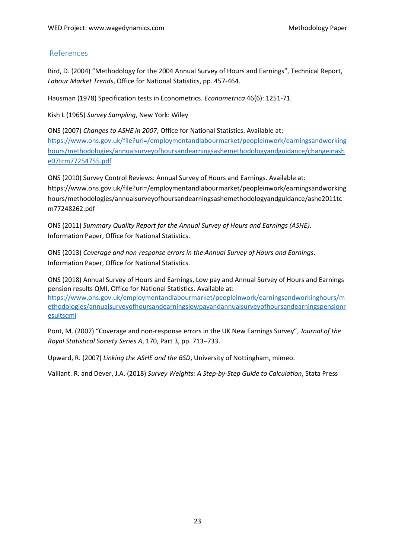## References

Bird, D. (2004) "Methodology for the 2004 Annual Survey of Hours and Earnings", Technical Report, *Labour Market Trends*, Office for National Statistics, pp. 457-464.

Hausman (1978) Specification tests in Econometrics. *Econometrica* 46(6): 1251-71.

Kish L (1965) *Survey Sampling*, New York: Wiley

ONS (2007) *Changes to ASHE in 2007*, Office for National Statistics. Available at: [https://www.ons.gov.uk/file?uri=/employmentandlabourmarket/peopleinwork/earningsandworking](https://www.ons.gov.uk/file?uri=/employmentandlabourmarket/peopleinwork/earningsandworkinghours/methodologies/annualsurveyofhoursandearningsashemethodologyandguidance/changeinashe07tcm77254755.pdf) [hours/methodologies/annualsurveyofhoursandearningsashemethodologyandguidance/changeinash](https://www.ons.gov.uk/file?uri=/employmentandlabourmarket/peopleinwork/earningsandworkinghours/methodologies/annualsurveyofhoursandearningsashemethodologyandguidance/changeinashe07tcm77254755.pdf) [e07tcm77254755.pdf](https://www.ons.gov.uk/file?uri=/employmentandlabourmarket/peopleinwork/earningsandworkinghours/methodologies/annualsurveyofhoursandearningsashemethodologyandguidance/changeinashe07tcm77254755.pdf)

ONS (2010) Survey Control Reviews: Annual Survey of Hours and Earnings. Available at: https://www.ons.gov.uk/file?uri=/employmentandlabourmarket/peopleinwork/earningsandworking hours/methodologies/annualsurveyofhoursandearningsashemethodologyandguidance/ashe2011tc m77248262.pdf

ONS (2011) *Summary Quality Report for the Annual Survey of Hours and Earnings (ASHE)*. Information Paper, Office for National Statistics.

ONS (2013) *Coverage and non-response errors in the Annual Survey of Hours and Earnings*. Information Paper, Office for National Statistics.

ONS (2018) Annual Survey of Hours and Earnings, Low pay and Annual Survey of Hours and Earnings pension results QMI, Office for National Statistics. Available at: [https://www.ons.gov.uk/employmentandlabourmarket/peopleinwork/earningsandworkinghours/m](https://www.ons.gov.uk/employmentandlabourmarket/peopleinwork/earningsandworkinghours/methodologies/annualsurveyofhoursandearningslowpayandannualsurveyofhoursandearningspensionresultsqmi) [ethodologies/annualsurveyofhoursandearningslowpayandannualsurveyofhoursandearningspensionr](https://www.ons.gov.uk/employmentandlabourmarket/peopleinwork/earningsandworkinghours/methodologies/annualsurveyofhoursandearningslowpayandannualsurveyofhoursandearningspensionresultsqmi) [esultsqmi](https://www.ons.gov.uk/employmentandlabourmarket/peopleinwork/earningsandworkinghours/methodologies/annualsurveyofhoursandearningslowpayandannualsurveyofhoursandearningspensionresultsqmi)

Pont, M. (2007) "Coverage and non-response errors in the UK New Earnings Survey", *Journal of the Royal Statistical Society Series A*, 170, Part 3, pp. 713–733.

Upward, R. (2007) *Linking the ASHE and the BSD*, University of Nottingham, mimeo.

Valliant. R. and Dever, J.A. (2018) *Survey Weights: A Step-by-Step Guide to Calculation*, Stata Press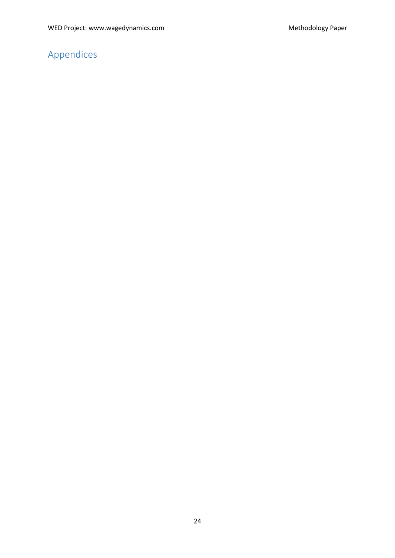# <span id="page-23-0"></span>Appendices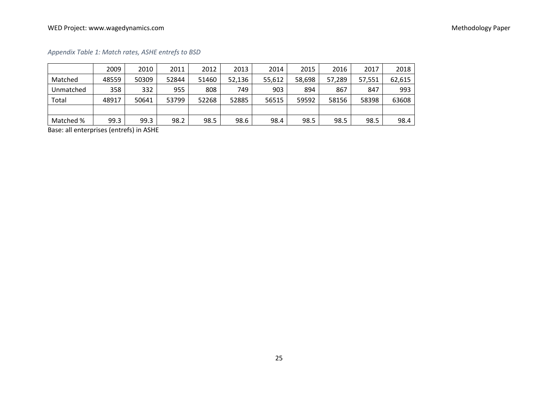## WED Project: www.wagedynamics.com example and the example of the example of the example of the Methodology Paper

*Appendix Table 1: Match rates, ASHE entrefs to BSD*

|           | 2009  | 2010  | 2011  | 2012  | 2013   | 2014   | 2015   | 2016   | 2017   | 2018   |
|-----------|-------|-------|-------|-------|--------|--------|--------|--------|--------|--------|
| Matched   | 48559 | 50309 | 52844 | 51460 | 52,136 | 55,612 | 58,698 | 57,289 | 57,551 | 62,615 |
| Unmatched | 358   | 332   | 955   | 808   | 749    | 903    | 894    | 867    | 847    | 993    |
| Total     | 48917 | 50641 | 53799 | 52268 | 52885  | 56515  | 59592  | 58156  | 58398  | 63608  |
|           |       |       |       |       |        |        |        |        |        |        |
| Matched % | 99.3  | 99.3  | 98.2  | 98.5  | 98.6   | 98.4   | 98.5   | 98.5   | 98.5   | 98.4   |

Base: all enterprises (entrefs) in ASHE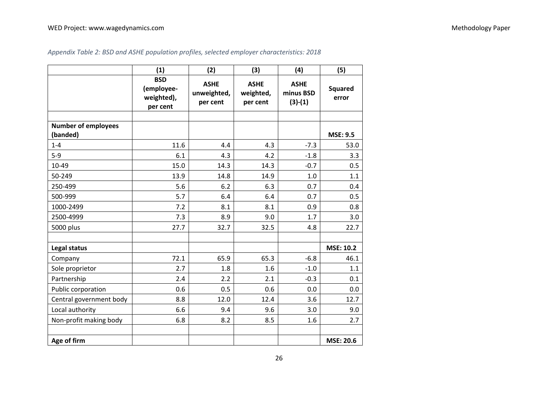|                            | (1)                                                | (2)                                    | (3)                                  | (4)                                   | (5)                     |
|----------------------------|----------------------------------------------------|----------------------------------------|--------------------------------------|---------------------------------------|-------------------------|
|                            | <b>BSD</b><br>(employee-<br>weighted),<br>per cent | <b>ASHE</b><br>unweighted,<br>per cent | <b>ASHE</b><br>weighted,<br>per cent | <b>ASHE</b><br>minus BSD<br>$(3)-(1)$ | <b>Squared</b><br>error |
| <b>Number of employees</b> |                                                    |                                        |                                      |                                       |                         |
| (banded)                   |                                                    |                                        |                                      |                                       | <b>MSE: 9.5</b>         |
| $1 - 4$                    | 11.6                                               | 4.4                                    | 4.3                                  | $-7.3$                                | 53.0                    |
| $5-9$                      | 6.1                                                | 4.3                                    | 4.2                                  | $-1.8$                                | 3.3                     |
| 10-49                      | 15.0                                               | 14.3                                   | 14.3                                 | $-0.7$                                | 0.5                     |
| 50-249                     | 13.9                                               | 14.8                                   | 14.9                                 | 1.0                                   | 1.1                     |
| 250-499                    | 5.6                                                | 6.2                                    | 6.3                                  | 0.7                                   | 0.4                     |
| 500-999                    | 5.7                                                | 6.4                                    | 6.4                                  | 0.7                                   | 0.5                     |
| 1000-2499                  | 7.2                                                | 8.1                                    | 8.1                                  | 0.9                                   | 0.8                     |
| 2500-4999                  | 7.3                                                | 8.9                                    | 9.0                                  | 1.7                                   | 3.0                     |
| 5000 plus                  | 27.7                                               | 32.7                                   | 32.5                                 | 4.8                                   | 22.7                    |
|                            |                                                    |                                        |                                      |                                       |                         |
| Legal status               |                                                    |                                        |                                      |                                       | <b>MSE: 10.2</b>        |
| Company                    | 72.1                                               | 65.9                                   | 65.3                                 | $-6.8$                                | 46.1                    |
| Sole proprietor            | 2.7                                                | 1.8                                    | 1.6                                  | $-1.0$                                | 1.1                     |
| Partnership                | 2.4                                                | 2.2                                    | 2.1                                  | $-0.3$                                | 0.1                     |
| Public corporation         | 0.6                                                | 0.5                                    | 0.6                                  | 0.0                                   | 0.0                     |
| Central government body    | 8.8                                                | 12.0                                   | 12.4                                 | 3.6                                   | 12.7                    |
| Local authority            | 6.6                                                | 9.4                                    | 9.6                                  | 3.0                                   | 9.0                     |
| Non-profit making body     | 6.8                                                | 8.2                                    | 8.5                                  | 1.6                                   | 2.7                     |
|                            |                                                    |                                        |                                      |                                       |                         |
| Age of firm                |                                                    |                                        |                                      |                                       | <b>MSE: 20.6</b>        |

## *Appendix Table 2: BSD and ASHE population profiles, selected employer characteristics: 2018*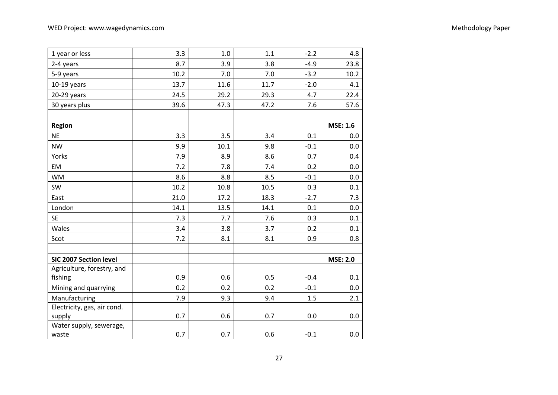| 1 year or less              | 3.3  | 1.0  | 1.1  | $-2.2$ | 4.8             |
|-----------------------------|------|------|------|--------|-----------------|
| 2-4 years                   | 8.7  | 3.9  | 3.8  | $-4.9$ | 23.8            |
| 5-9 years                   | 10.2 | 7.0  | 7.0  | $-3.2$ | 10.2            |
| $10-19$ years               | 13.7 | 11.6 | 11.7 | $-2.0$ | 4.1             |
| 20-29 years                 | 24.5 | 29.2 | 29.3 | 4.7    | 22.4            |
| 30 years plus               | 39.6 | 47.3 | 47.2 | 7.6    | 57.6            |
|                             |      |      |      |        |                 |
| <b>Region</b>               |      |      |      |        | <b>MSE: 1.6</b> |
| <b>NE</b>                   | 3.3  | 3.5  | 3.4  | 0.1    | 0.0             |
| <b>NW</b>                   | 9.9  | 10.1 | 9.8  | $-0.1$ | 0.0             |
| Yorks                       | 7.9  | 8.9  | 8.6  | 0.7    | 0.4             |
| EM                          | 7.2  | 7.8  | 7.4  | 0.2    | 0.0             |
| <b>WM</b>                   | 8.6  | 8.8  | 8.5  | $-0.1$ | 0.0             |
| SW                          | 10.2 | 10.8 | 10.5 | 0.3    | 0.1             |
| East                        | 21.0 | 17.2 | 18.3 | $-2.7$ | 7.3             |
| London                      | 14.1 | 13.5 | 14.1 | 0.1    | 0.0             |
| <b>SE</b>                   | 7.3  | 7.7  | 7.6  | 0.3    | 0.1             |
| Wales                       | 3.4  | 3.8  | 3.7  | 0.2    | 0.1             |
| Scot                        | 7.2  | 8.1  | 8.1  | 0.9    | 0.8             |
|                             |      |      |      |        |                 |
| SIC 2007 Section level      |      |      |      |        | <b>MSE: 2.0</b> |
| Agriculture, forestry, and  |      |      |      |        |                 |
| fishing                     | 0.9  | 0.6  | 0.5  | $-0.4$ | 0.1             |
| Mining and quarrying        | 0.2  | 0.2  | 0.2  | $-0.1$ | 0.0             |
| Manufacturing               | 7.9  | 9.3  | 9.4  | 1.5    | 2.1             |
| Electricity, gas, air cond. |      |      |      |        |                 |
| supply                      | 0.7  | 0.6  | 0.7  | 0.0    | 0.0             |
| Water supply, sewerage,     |      |      |      |        |                 |
| waste                       | 0.7  | 0.7  | 0.6  | $-0.1$ | 0.0             |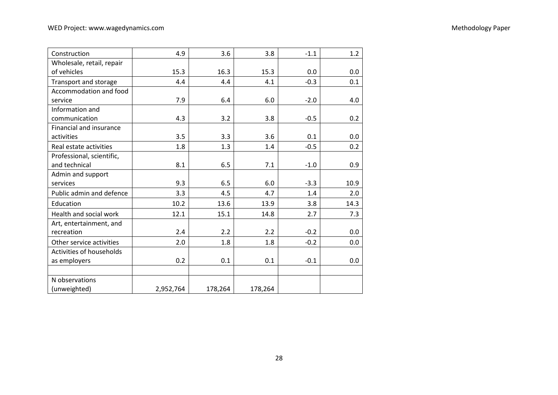| Construction                  | 4.9       | 3.6     | 3.8     | $-1.1$ | 1.2  |
|-------------------------------|-----------|---------|---------|--------|------|
| Wholesale, retail, repair     |           |         |         |        |      |
| of vehicles                   | 15.3      | 16.3    | 15.3    | 0.0    | 0.0  |
| Transport and storage         | 4.4       | 4.4     | 4.1     | $-0.3$ | 0.1  |
| Accommodation and food        |           |         |         |        |      |
| service                       | 7.9       | 6.4     | 6.0     | $-2.0$ | 4.0  |
| Information and               |           |         |         |        |      |
| communication                 | 4.3       | 3.2     | 3.8     | $-0.5$ | 0.2  |
| Financial and insurance       |           |         |         |        |      |
| activities                    | 3.5       | 3.3     | 3.6     | 0.1    | 0.0  |
| Real estate activities        | 1.8       | 1.3     | 1.4     | $-0.5$ | 0.2  |
| Professional, scientific,     |           |         |         |        |      |
| and technical                 | 8.1       | 6.5     | 7.1     | $-1.0$ | 0.9  |
| Admin and support             |           |         |         |        |      |
| services                      | 9.3       | 6.5     | 6.0     | $-3.3$ | 10.9 |
| Public admin and defence      | 3.3       | 4.5     | 4.7     | 1.4    | 2.0  |
| Education                     | 10.2      | 13.6    | 13.9    | 3.8    | 14.3 |
| <b>Health and social work</b> | 12.1      | 15.1    | 14.8    | 2.7    | 7.3  |
| Art, entertainment, and       |           |         |         |        |      |
| recreation                    | 2.4       | 2.2     | 2.2     | $-0.2$ | 0.0  |
| Other service activities      | 2.0       | 1.8     | 1.8     | $-0.2$ | 0.0  |
| Activities of households      |           |         |         |        |      |
| as employers                  | 0.2       | 0.1     | 0.1     | $-0.1$ | 0.0  |
|                               |           |         |         |        |      |
| N observations                |           |         |         |        |      |
| (unweighted)                  | 2,952,764 | 178,264 | 178,264 |        |      |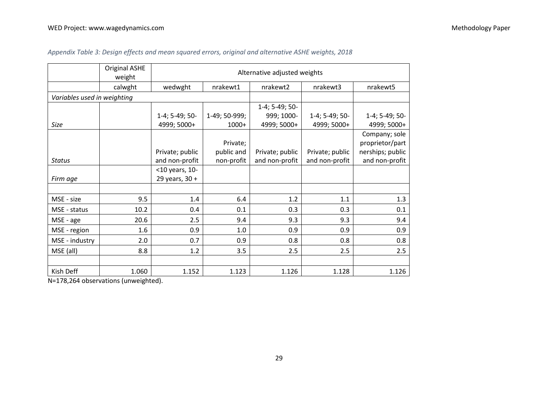|                             | <b>Original ASHE</b><br>weight |                 |               | Alternative adjusted weights |                 |                  |
|-----------------------------|--------------------------------|-----------------|---------------|------------------------------|-----------------|------------------|
|                             | calwght                        | wedwght         | nrakewt1      | nrakewt2                     | nrakewt3        | nrakewt5         |
| Variables used in weighting |                                |                 |               |                              |                 |                  |
|                             |                                |                 |               | 1-4; 5-49; 50-               |                 |                  |
|                             |                                | 1-4; 5-49; 50-  | 1-49; 50-999; | 999; 1000-                   | 1-4; 5-49; 50-  | 1-4; 5-49; 50-   |
| Size                        |                                | 4999; 5000+     | $1000+$       | 4999; 5000+                  | 4999; 5000+     | 4999; 5000+      |
|                             |                                |                 |               |                              |                 | Company; sole    |
|                             |                                |                 | Private;      |                              |                 | proprietor/part  |
|                             |                                | Private; public | public and    | Private; public              | Private; public | nerships; public |
| <b>Status</b>               |                                | and non-profit  | non-profit    | and non-profit               | and non-profit  | and non-profit   |
|                             |                                | <10 years, 10-  |               |                              |                 |                  |
| Firm age                    |                                | 29 years, 30 +  |               |                              |                 |                  |
|                             |                                |                 |               |                              |                 |                  |
| MSE - size                  | 9.5                            | 1.4             | 6.4           | 1.2                          | 1.1             | 1.3              |
| MSE - status                | 10.2                           | 0.4             | 0.1           | 0.3                          | 0.3             | 0.1              |
| MSE - age                   | 20.6                           | 2.5             | 9.4           | 9.3                          | 9.3             | 9.4              |
| MSE - region                | 1.6                            | 0.9             | 1.0           | 0.9                          | 0.9             | 0.9              |
| MSE - industry              | 2.0                            | 0.7             | 0.9           | 0.8                          | 0.8             | 0.8              |
| MSE (all)                   | 8.8                            | 1.2             | 3.5           | 2.5                          | 2.5             | 2.5              |
|                             |                                |                 |               |                              |                 |                  |
| Kish Deff                   | 1.060                          | 1.152           | 1.123         | 1.126                        | 1.128           | 1.126            |

## *Appendix Table 3: Design effects and mean squared errors, original and alternative ASHE weights, 2018*

N=178,264 observations (unweighted).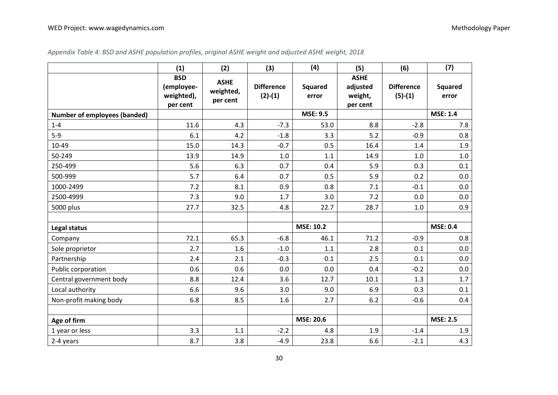|                                     | (1)                                                | (2)                                  | (3)                            | (4)                     | (5)                                            | (6)                            | (7)                     |
|-------------------------------------|----------------------------------------------------|--------------------------------------|--------------------------------|-------------------------|------------------------------------------------|--------------------------------|-------------------------|
|                                     | <b>BSD</b><br>(employee-<br>weighted),<br>per cent | <b>ASHE</b><br>weighted,<br>per cent | <b>Difference</b><br>$(2)-(1)$ | <b>Squared</b><br>error | <b>ASHE</b><br>adjusted<br>weight,<br>per cent | <b>Difference</b><br>$(5)-(1)$ | <b>Squared</b><br>error |
| <b>Number of employees (banded)</b> |                                                    |                                      |                                | <b>MSE: 9.5</b>         |                                                |                                | <b>MSE: 1.4</b>         |
| $1 - 4$                             | 11.6                                               | 4.3                                  | $-7.3$                         | 53.0                    | 8.8                                            | $-2.8$                         | 7.8                     |
| $5-9$                               | 6.1                                                | 4.2                                  | $-1.8$                         | 3.3                     | 5.2                                            | $-0.9$                         | 0.8                     |
| 10-49                               | 15.0                                               | 14.3                                 | $-0.7$                         | 0.5                     | 16.4                                           | 1.4                            | 1.9                     |
| 50-249                              | 13.9                                               | 14.9                                 | 1.0                            | 1.1                     | 14.9                                           | 1.0                            | $1.0$                   |
| 250-499                             | 5.6                                                | 6.3                                  | 0.7                            | 0.4                     | 5.9                                            | 0.3                            | 0.1                     |
| 500-999                             | 5.7                                                | 6.4                                  | 0.7                            | 0.5                     | 5.9                                            | 0.2                            | 0.0                     |
| 1000-2499                           | 7.2                                                | 8.1                                  | 0.9                            | 0.8                     | 7.1                                            | $-0.1$                         | 0.0                     |
| 2500-4999                           | 7.3                                                | 9.0                                  | 1.7                            | 3.0                     | 7.2                                            | 0.0                            | 0.0                     |
| 5000 plus                           | 27.7                                               | 32.5                                 | 4.8                            | 22.7                    | 28.7                                           | 1.0                            | 0.9                     |
| Legal status                        |                                                    |                                      |                                | <b>MSE: 10.2</b>        |                                                |                                | <b>MSE: 0.4</b>         |
| Company                             | 72.1                                               | 65.3                                 | $-6.8$                         | 46.1                    | 71.2                                           | $-0.9$                         | 0.8                     |
| Sole proprietor                     | 2.7                                                | 1.6                                  | $-1.0$                         | 1.1                     | 2.8                                            | 0.1                            | 0.0                     |
| Partnership                         | 2.4                                                | 2.1                                  | $-0.3$                         | 0.1                     | 2.5                                            | 0.1                            | 0.0                     |
| Public corporation                  | 0.6                                                | 0.6                                  | 0.0                            | 0.0                     | 0.4                                            | $-0.2$                         | 0.0                     |
| Central government body             | 8.8                                                | 12.4                                 | 3.6                            | 12.7                    | 10.1                                           | 1.3                            | 1.7                     |
| Local authority                     | 6.6                                                | 9.6                                  | 3.0                            | 9.0                     | 6.9                                            | 0.3                            | 0.1                     |
| Non-profit making body              | 6.8                                                | 8.5                                  | 1.6                            | 2.7                     | 6.2                                            | $-0.6$                         | 0.4                     |
| Age of firm                         |                                                    |                                      |                                | <b>MSE: 20.6</b>        |                                                |                                | <b>MSE: 2.5</b>         |
| 1 year or less                      | 3.3                                                | 1.1                                  | $-2.2$                         | 4.8                     | 1.9                                            | $-1.4$                         | 1.9                     |
| 2-4 years                           | 8.7                                                | 3.8                                  | $-4.9$                         | 23.8                    | 6.6                                            | $-2.1$                         | 4.3                     |

## *Appendix Table 4: BSD and ASHE population profiles, original ASHE weight and adjusted ASHE weight, 2018*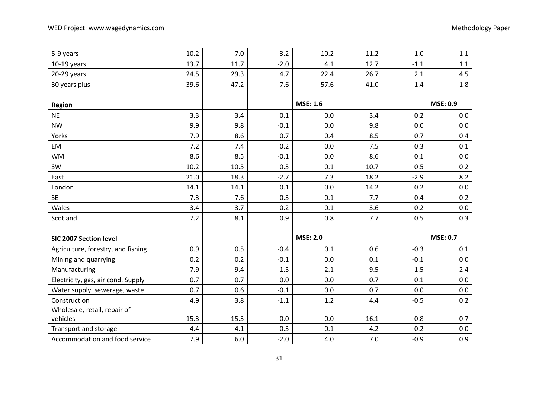| 5-9 years                          | 10.2 | 7.0     | $-3.2$ | 10.2            | 11.2 | 1.0    | 1.1             |
|------------------------------------|------|---------|--------|-----------------|------|--------|-----------------|
| $10-19$ years                      | 13.7 | 11.7    | $-2.0$ | 4.1             | 12.7 | $-1.1$ | $1.1\,$         |
| 20-29 years                        | 24.5 | 29.3    | 4.7    | 22.4            | 26.7 | 2.1    | 4.5             |
| 30 years plus                      | 39.6 | 47.2    | 7.6    | 57.6            | 41.0 | 1.4    | 1.8             |
|                                    |      |         |        |                 |      |        |                 |
| <b>Region</b>                      |      |         |        | <b>MSE: 1.6</b> |      |        | <b>MSE: 0.9</b> |
| <b>NE</b>                          | 3.3  | 3.4     | 0.1    | 0.0             | 3.4  | 0.2    | 0.0             |
| <b>NW</b>                          | 9.9  | 9.8     | $-0.1$ | 0.0             | 9.8  | 0.0    | 0.0             |
| Yorks                              | 7.9  | 8.6     | 0.7    | 0.4             | 8.5  | 0.7    | 0.4             |
| EM                                 | 7.2  | 7.4     | 0.2    | 0.0             | 7.5  | 0.3    | 0.1             |
| <b>WM</b>                          | 8.6  | 8.5     | $-0.1$ | 0.0             | 8.6  | 0.1    | 0.0             |
| SW                                 | 10.2 | 10.5    | 0.3    | 0.1             | 10.7 | 0.5    | 0.2             |
| East                               | 21.0 | 18.3    | $-2.7$ | 7.3             | 18.2 | $-2.9$ | 8.2             |
| London                             | 14.1 | 14.1    | 0.1    | 0.0             | 14.2 | 0.2    | 0.0             |
| <b>SE</b>                          | 7.3  | 7.6     | 0.3    | 0.1             | 7.7  | 0.4    | 0.2             |
| Wales                              | 3.4  | 3.7     | 0.2    | 0.1             | 3.6  | 0.2    | 0.0             |
| Scotland                           | 7.2  | 8.1     | 0.9    | 0.8             | 7.7  | 0.5    | 0.3             |
|                                    |      |         |        |                 |      |        |                 |
| SIC 2007 Section level             |      |         |        | <b>MSE: 2.0</b> |      |        | <b>MSE: 0.7</b> |
| Agriculture, forestry, and fishing | 0.9  | 0.5     | $-0.4$ | 0.1             | 0.6  | $-0.3$ | 0.1             |
| Mining and quarrying               | 0.2  | 0.2     | $-0.1$ | 0.0             | 0.1  | $-0.1$ | 0.0             |
| Manufacturing                      | 7.9  | 9.4     | 1.5    | 2.1             | 9.5  | 1.5    | 2.4             |
| Electricity, gas, air cond. Supply | 0.7  | 0.7     | 0.0    | 0.0             | 0.7  | 0.1    | $0.0\,$         |
| Water supply, sewerage, waste      | 0.7  | 0.6     | $-0.1$ | 0.0             | 0.7  | 0.0    | 0.0             |
| Construction                       | 4.9  | 3.8     | $-1.1$ | 1.2             | 4.4  | $-0.5$ | 0.2             |
| Wholesale, retail, repair of       |      |         |        |                 |      |        |                 |
| vehicles                           | 15.3 | 15.3    | 0.0    | 0.0             | 16.1 | 0.8    | 0.7             |
| Transport and storage              | 4.4  | 4.1     | $-0.3$ | 0.1             | 4.2  | $-0.2$ | $0.0\,$         |
| Accommodation and food service     | 7.9  | $6.0\,$ | $-2.0$ | 4.0             | 7.0  | $-0.9$ | 0.9             |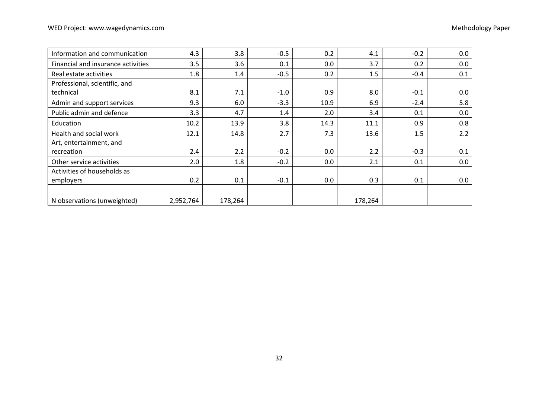| Information and communication      | 4.3       | 3.8     | $-0.5$ | 0.2  | 4.1     | $-0.2$ | 0.0 |
|------------------------------------|-----------|---------|--------|------|---------|--------|-----|
| Financial and insurance activities | 3.5       | 3.6     | 0.1    | 0.0  | 3.7     | 0.2    | 0.0 |
| Real estate activities             | 1.8       | 1.4     | $-0.5$ | 0.2  | 1.5     | $-0.4$ | 0.1 |
| Professional, scientific, and      |           |         |        |      |         |        |     |
| technical                          | 8.1       | 7.1     | $-1.0$ | 0.9  | 8.0     | $-0.1$ | 0.0 |
| Admin and support services         | 9.3       | 6.0     | $-3.3$ | 10.9 | 6.9     | $-2.4$ | 5.8 |
| Public admin and defence           | 3.3       | 4.7     | 1.4    | 2.0  | 3.4     | 0.1    | 0.0 |
| Education                          | 10.2      | 13.9    | 3.8    | 14.3 | 11.1    | 0.9    | 0.8 |
| Health and social work             | 12.1      | 14.8    | 2.7    | 7.3  | 13.6    | 1.5    | 2.2 |
| Art, entertainment, and            |           |         |        |      |         |        |     |
| recreation                         | 2.4       | 2.2     | $-0.2$ | 0.0  | 2.2     | $-0.3$ | 0.1 |
| Other service activities           | 2.0       | 1.8     | $-0.2$ | 0.0  | 2.1     | 0.1    | 0.0 |
| Activities of households as        |           |         |        |      |         |        |     |
| employers                          | 0.2       | 0.1     | $-0.1$ | 0.0  | 0.3     | 0.1    | 0.0 |
|                                    |           |         |        |      |         |        |     |
| N observations (unweighted)        | 2,952,764 | 178,264 |        |      | 178,264 |        |     |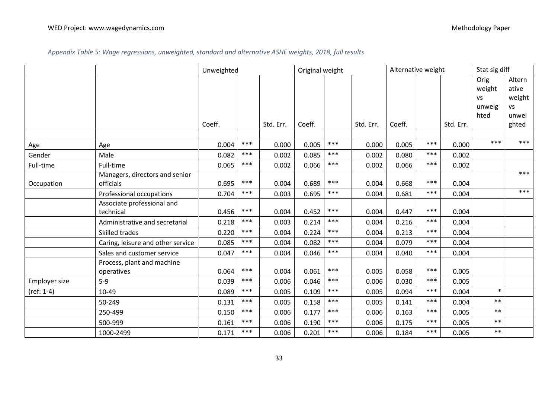*Appendix Table 5: Wage regressions, unweighted, standard and alternative ASHE weights, 2018, full results*

|               |                                   |        | Unweighted |           |        | Original weight |           |        | Alternative weight |           |           | Stat sig diff |  |
|---------------|-----------------------------------|--------|------------|-----------|--------|-----------------|-----------|--------|--------------------|-----------|-----------|---------------|--|
|               |                                   |        |            |           |        |                 |           |        |                    |           | Orig      | Altern        |  |
|               |                                   |        |            |           |        |                 |           |        |                    |           | weight    | ative         |  |
|               |                                   |        |            |           |        |                 |           |        |                    |           | <b>VS</b> | weight        |  |
|               |                                   |        |            |           |        |                 |           |        |                    |           | unweig    | <b>VS</b>     |  |
|               |                                   |        |            |           |        |                 |           |        |                    |           | hted      | unwei         |  |
|               |                                   | Coeff. |            | Std. Err. | Coeff. |                 | Std. Err. | Coeff. |                    | Std. Err. |           | ghted         |  |
|               |                                   |        |            |           |        |                 |           |        |                    |           |           |               |  |
| Age           | Age                               | 0.004  | $***$      | 0.000     | 0.005  | $***$           | 0.000     | 0.005  | $***$              | 0.000     | ***       | ***           |  |
| Gender        | Male                              | 0.082  | ***        | 0.002     | 0.085  | $***$           | 0.002     | 0.080  | ***                | 0.002     |           |               |  |
| Full-time     | Full-time                         | 0.065  | $***$      | 0.002     | 0.066  | $***$           | 0.002     | 0.066  | $***$              | 0.002     |           |               |  |
|               | Managers, directors and senior    |        |            |           |        |                 |           |        |                    |           |           | ***           |  |
| Occupation    | officials                         | 0.695  | $***$      | 0.004     | 0.689  | ***             | 0.004     | 0.668  | $***$              | 0.004     |           |               |  |
|               | Professional occupations          | 0.704  | $***$      | 0.003     | 0.695  | $***$           | 0.004     | 0.681  | $***$              | 0.004     |           | ***           |  |
|               | Associate professional and        |        |            |           |        |                 |           |        |                    |           |           |               |  |
|               | technical                         | 0.456  | $***$      | 0.004     | 0.452  | ***             | 0.004     | 0.447  | $***$              | 0.004     |           |               |  |
|               | Administrative and secretarial    | 0.218  | ***        | 0.003     | 0.214  | ***             | 0.004     | 0.216  | ***                | 0.004     |           |               |  |
|               | Skilled trades                    | 0.220  | $***$      | 0.004     | 0.224  | $***$           | 0.004     | 0.213  | $***$              | 0.004     |           |               |  |
|               | Caring, leisure and other service | 0.085  | ***        | 0.004     | 0.082  | $***$           | 0.004     | 0.079  | $***$              | 0.004     |           |               |  |
|               | Sales and customer service        | 0.047  | $***$      | 0.004     | 0.046  | $***$           | 0.004     | 0.040  | $***$              | 0.004     |           |               |  |
|               | Process, plant and machine        |        |            |           |        |                 |           |        |                    |           |           |               |  |
|               | operatives                        | 0.064  | $***$      | 0.004     | 0.061  | $***$           | 0.005     | 0.058  | $***$              | 0.005     |           |               |  |
| Employer size | $5-9$                             | 0.039  | $***$      | 0.006     | 0.046  | $***$           | 0.006     | 0.030  | $***$              | 0.005     |           |               |  |
| $(ref: 1-4)$  | 10-49                             | 0.089  | ***        | 0.005     | 0.109  | $***$           | 0.005     | 0.094  | $***$              | 0.004     | $\ast$    |               |  |
|               | 50-249                            | 0.131  | ***        | 0.005     | 0.158  | $***$           | 0.005     | 0.141  | ***                | 0.004     | $**$      |               |  |
|               | 250-499                           | 0.150  | $***$      | 0.006     | 0.177  | $***$           | 0.006     | 0.163  | $***$              | 0.005     | $***$     |               |  |
|               | 500-999                           | 0.161  | $***$      | 0.006     | 0.190  | $***$           | 0.006     | 0.175  | $***$              | 0.005     | $***$     |               |  |
|               | 1000-2499                         | 0.171  | $***$      | 0.006     | 0.201  | $***$           | 0.006     | 0.184  | $***$              | 0.005     | $***$     |               |  |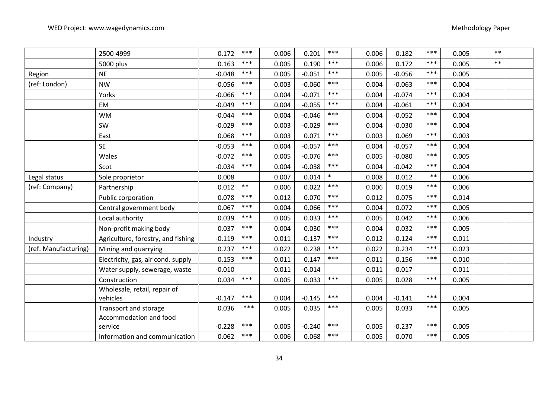|                      | 2500-4999                          | 0.172    | $***$ | 0.006 | 0.201    | $***$  | 0.006 | 0.182    | $***$ | 0.005 | $***$ |  |
|----------------------|------------------------------------|----------|-------|-------|----------|--------|-------|----------|-------|-------|-------|--|
|                      | 5000 plus                          | 0.163    | $***$ | 0.005 | 0.190    | $***$  | 0.006 | 0.172    | ***   | 0.005 | $***$ |  |
| Region               | <b>NE</b>                          | $-0.048$ | $***$ | 0.005 | $-0.051$ | ***    | 0.005 | $-0.056$ | $***$ | 0.005 |       |  |
| (ref: London)        | <b>NW</b>                          | $-0.056$ | $***$ | 0.003 | $-0.060$ | $***$  | 0.004 | $-0.063$ | $***$ | 0.004 |       |  |
|                      | Yorks                              | $-0.066$ | $***$ | 0.004 | $-0.071$ | $***$  | 0.004 | $-0.074$ | ***   | 0.004 |       |  |
|                      | EM                                 | $-0.049$ | $***$ | 0.004 | $-0.055$ | $***$  | 0.004 | $-0.061$ | $***$ | 0.004 |       |  |
|                      | <b>WM</b>                          | $-0.044$ | $***$ | 0.004 | $-0.046$ | $***$  | 0.004 | $-0.052$ | $***$ | 0.004 |       |  |
|                      | SW                                 | $-0.029$ | $***$ | 0.003 | $-0.029$ | $***$  | 0.004 | $-0.030$ | ***   | 0.004 |       |  |
|                      | East                               | 0.068    | $***$ | 0.003 | 0.071    | $***$  | 0.003 | 0.069    | $***$ | 0.003 |       |  |
|                      | <b>SE</b>                          | $-0.053$ | $***$ | 0.004 | $-0.057$ | $***$  | 0.004 | $-0.057$ | $***$ | 0.004 |       |  |
|                      | Wales                              | $-0.072$ | $***$ | 0.005 | $-0.076$ | $***$  | 0.005 | $-0.080$ | $***$ | 0.005 |       |  |
|                      | Scot                               | $-0.034$ | $***$ | 0.004 | $-0.038$ | $***$  | 0.004 | $-0.042$ | $***$ | 0.004 |       |  |
| Legal status         | Sole proprietor                    | 0.008    |       | 0.007 | 0.014    | $\ast$ | 0.008 | 0.012    | $***$ | 0.006 |       |  |
| (ref: Company)       | Partnership                        | 0.012    | $***$ | 0.006 | 0.022    | $***$  | 0.006 | 0.019    | ***   | 0.006 |       |  |
|                      | Public corporation                 | 0.078    | $***$ | 0.012 | 0.070    | $***$  | 0.012 | 0.075    | $***$ | 0.014 |       |  |
|                      | Central government body            | 0.067    | $***$ | 0.004 | 0.066    | $***$  | 0.004 | 0.072    | $***$ | 0.005 |       |  |
|                      | Local authority                    | 0.039    | $***$ | 0.005 | 0.033    | $***$  | 0.005 | 0.042    | ***   | 0.006 |       |  |
|                      | Non-profit making body             | 0.037    | $***$ | 0.004 | 0.030    | $***$  | 0.004 | 0.032    | ***   | 0.005 |       |  |
| Industry             | Agriculture, forestry, and fishing | $-0.119$ | $***$ | 0.011 | $-0.137$ | $***$  | 0.012 | $-0.124$ | $***$ | 0.011 |       |  |
| (ref: Manufacturing) | Mining and quarrying               | 0.237    | $***$ | 0.022 | 0.238    | $***$  | 0.022 | 0.234    | $***$ | 0.023 |       |  |
|                      | Electricity, gas, air cond. supply | 0.153    | $***$ | 0.011 | 0.147    | $***$  | 0.011 | 0.156    | ***   | 0.010 |       |  |
|                      | Water supply, sewerage, waste      | $-0.010$ |       | 0.011 | $-0.014$ |        | 0.011 | $-0.017$ |       | 0.011 |       |  |
|                      | Construction                       | 0.034    | $***$ | 0.005 | 0.033    | $***$  | 0.005 | 0.028    | $***$ | 0.005 |       |  |
|                      | Wholesale, retail, repair of       |          |       |       |          |        |       |          |       |       |       |  |
|                      | vehicles                           | $-0.147$ | $***$ | 0.004 | $-0.145$ | ***    | 0.004 | $-0.141$ | $***$ | 0.004 |       |  |
|                      | Transport and storage              | 0.036    | $***$ | 0.005 | 0.035    | $***$  | 0.005 | 0.033    | ***   | 0.005 |       |  |
|                      | Accommodation and food             |          |       |       |          |        |       |          |       |       |       |  |
|                      | service                            | $-0.228$ | $***$ | 0.005 | $-0.240$ | $***$  | 0.005 | $-0.237$ | ***   | 0.005 |       |  |
|                      | Information and communication      | 0.062    | $***$ | 0.006 | 0.068    | $***$  | 0.005 | 0.070    | ***   | 0.005 |       |  |